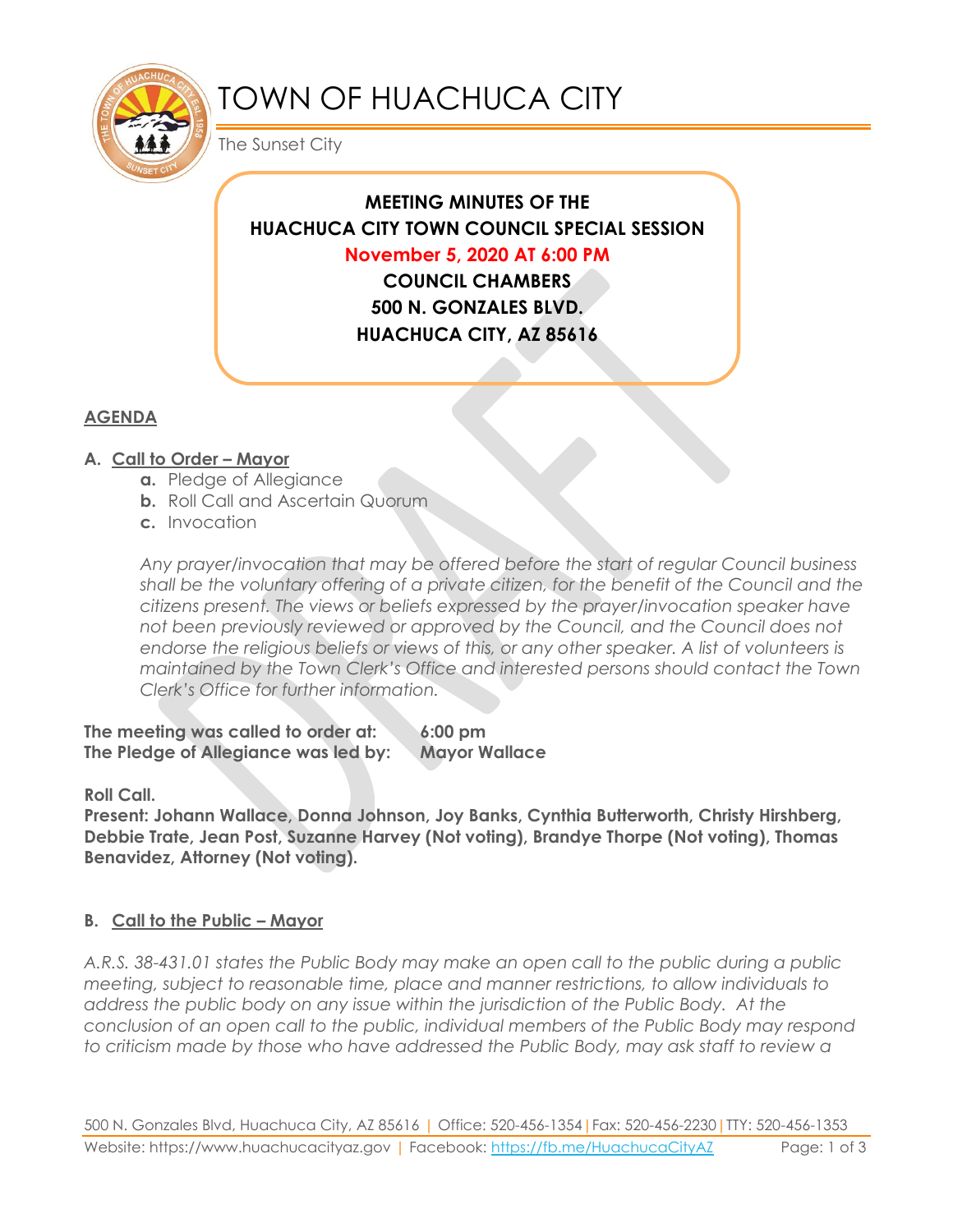

# TOWN OF HUACHUCA CITY

The Sunset City

# **MEETING MINUTES OF THE HUACHUCA CITY TOWN COUNCIL SPECIAL SESSION November 5, 2020 AT 6:00 PM COUNCIL CHAMBERS**

**500 N. GONZALES BLVD. HUACHUCA CITY, AZ 85616**

# **AGENDA**

# **A. Call to Order – Mayor**

- **a.** Pledge of Allegiance
- **b.** Roll Call and Ascertain Quorum
- **c.** Invocation

*Any prayer/invocation that may be offered before the start of regular Council business shall be the voluntary offering of a private citizen, for the benefit of the Council and the citizens present. The views or beliefs expressed by the prayer/invocation speaker have not been previously reviewed or approved by the Council, and the Council does not endorse the religious beliefs or views of this, or any other speaker. A list of volunteers is maintained by the Town Clerk's Office and interested persons should contact the Town Clerk's Office for further information.*

**The meeting was called to order at: 6:00 pm The Pledge of Allegiance was led by: Mayor Wallace**

**Roll Call.**

**Present: Johann Wallace, Donna Johnson, Joy Banks, Cynthia Butterworth, Christy Hirshberg, Debbie Trate, Jean Post, Suzanne Harvey (Not voting), Brandye Thorpe (Not voting), Thomas Benavidez, Attorney (Not voting).**

## **B. Call to the Public – Mayor**

*A.R.S. 38-431.01 states the Public Body may make an open call to the public during a public meeting, subject to reasonable time, place and manner restrictions, to allow individuals to address the public body on any issue within the jurisdiction of the Public Body. At the conclusion of an open call to the public, individual members of the Public Body may respond to criticism made by those who have addressed the Public Body, may ask staff to review a*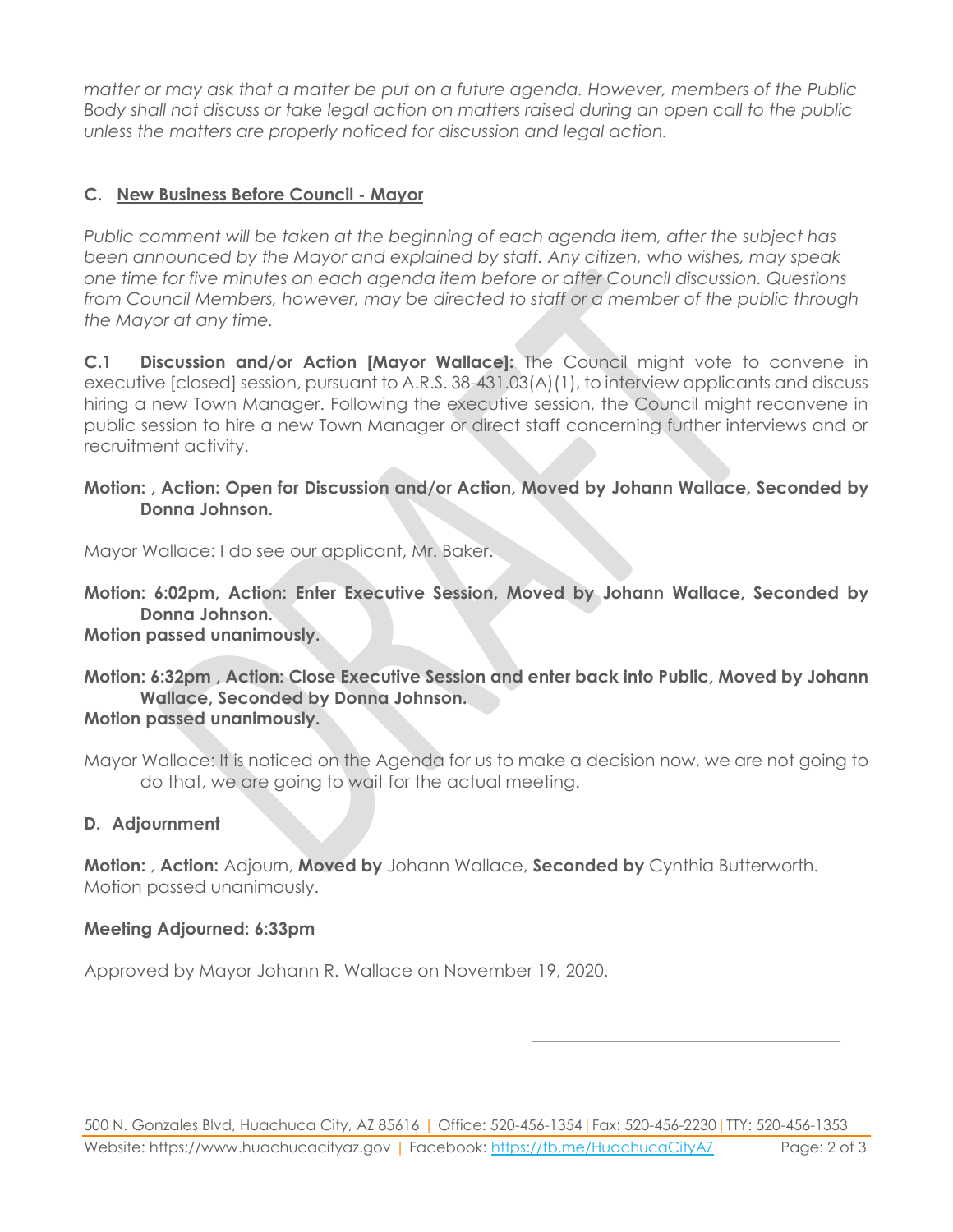*matter or may ask that a matter be put on a future agenda. However, members of the Public Body shall not discuss or take legal action on matters raised during an open call to the public unless the matters are properly noticed for discussion and legal action.*

### **C. New Business Before Council - Mayor**

*Public comment will be taken at the beginning of each agenda item, after the subject has been announced by the Mayor and explained by staff. Any citizen, who wishes, may speak one time for five minutes on each agenda item before or after Council discussion. Questions from Council Members, however, may be directed to staff or a member of the public through the Mayor at any time.* 

**C.1 Discussion and/or Action [Mayor Wallace]:** The Council might vote to convene in executive [closed] session, pursuant to A.R.S. 38-431.03(A)(1), to interview applicants and discuss hiring a new Town Manager. Following the executive session, the Council might reconvene in public session to hire a new Town Manager or direct staff concerning further interviews and or recruitment activity.

#### **Motion: , Action: Open for Discussion and/or Action, Moved by Johann Wallace, Seconded by Donna Johnson.**

Mayor Wallace: I do see our applicant, Mr. Baker.

**Motion: 6:02pm, Action: Enter Executive Session, Moved by Johann Wallace, Seconded by Donna Johnson. Motion passed unanimously.**

# **Motion: 6:32pm , Action: Close Executive Session and enter back into Public, Moved by Johann Wallace, Seconded by Donna Johnson.**

#### **Motion passed unanimously.**

Mayor Wallace: It is noticed on the Agenda for us to make a decision now, we are not going to do that, we are going to wait for the actual meeting.

#### **D. Adjournment**

**Motion:** , **Action:** Adjourn, **Moved by** Johann Wallace, **Seconded by** Cynthia Butterworth. Motion passed unanimously.

#### **Meeting Adjourned: 6:33pm**

Approved by Mayor Johann R. Wallace on November 19, 2020.

\_\_\_\_\_\_\_\_\_\_\_\_\_\_\_\_\_\_\_\_\_\_\_\_\_\_\_\_\_\_\_\_\_\_\_\_